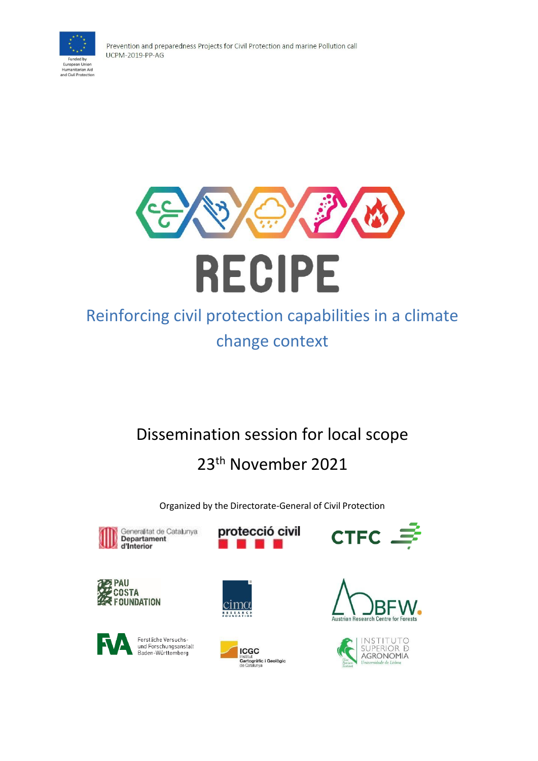

Prevention and preparedness Projects for Civil Protection and marine Pollution call **UCPM-2019-PP-AG** 



# Reinforcing civil protection capabilities in a climate change context

# Dissemination session for local scope

# 23th November 2021

Organized by the Directorate-General of Civil Protection



protecció civil









cimα



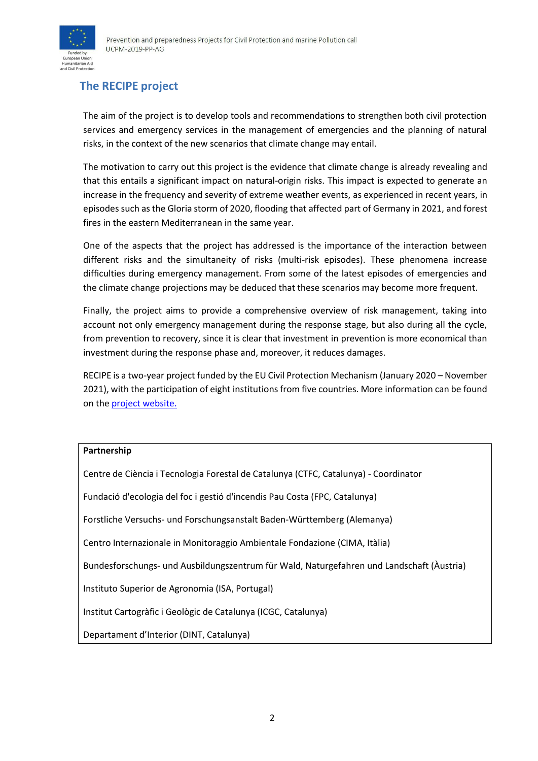

# **The RECIPE project**

The aim of the project is to develop tools and recommendations to strengthen both civil protection services and emergency services in the management of emergencies and the planning of natural risks, in the context of the new scenarios that climate change may entail.

The motivation to carry out this project is the evidence that climate change is already revealing and that this entails a significant impact on natural-origin risks. This impact is expected to generate an increase in the frequency and severity of extreme weather events, as experienced in recent years, in episodes such as the Gloria storm of 2020, flooding that affected part of Germany in 2021, and forest fires in the eastern Mediterranean in the same year.

One of the aspects that the project has addressed is the importance of the interaction between different risks and the simultaneity of risks (multi-risk episodes). These phenomena increase difficulties during emergency management. From some of the latest episodes of emergencies and the climate change projections may be deduced that these scenarios may become more frequent.

Finally, the project aims to provide a comprehensive overview of risk management, taking into account not only emergency management during the response stage, but also during all the cycle, from prevention to recovery, since it is clear that investment in prevention is more economical than investment during the response phase and, moreover, it reduces damages.

RECIPE is a two-year project funded by the EU Civil Protection Mechanism (January 2020 – November 2021), with the participation of eight institutions from five countries. More information can be found on the **project** [website.](http://recipe.ctfc.cat/)

#### **Partnership**

| Centre de Ciència i Tecnologia Forestal de Catalunya (CTFC, Catalunya) - Coordinator      |  |  |
|-------------------------------------------------------------------------------------------|--|--|
| Fundació d'ecologia del foc i gestió d'incendis Pau Costa (FPC, Catalunya)                |  |  |
| Forstliche Versuchs- und Forschungsanstalt Baden-Württemberg (Alemanya)                   |  |  |
| Centro Internazionale in Monitoraggio Ambientale Fondazione (CIMA, Itàlia)                |  |  |
| Bundesforschungs- und Ausbildungszentrum für Wald, Naturgefahren und Landschaft (Austria) |  |  |
| Instituto Superior de Agronomia (ISA, Portugal)                                           |  |  |
| Institut Cartogràfic i Geològic de Catalunya (ICGC, Catalunya)                            |  |  |
| Departament d'Interior (DINT, Catalunya)                                                  |  |  |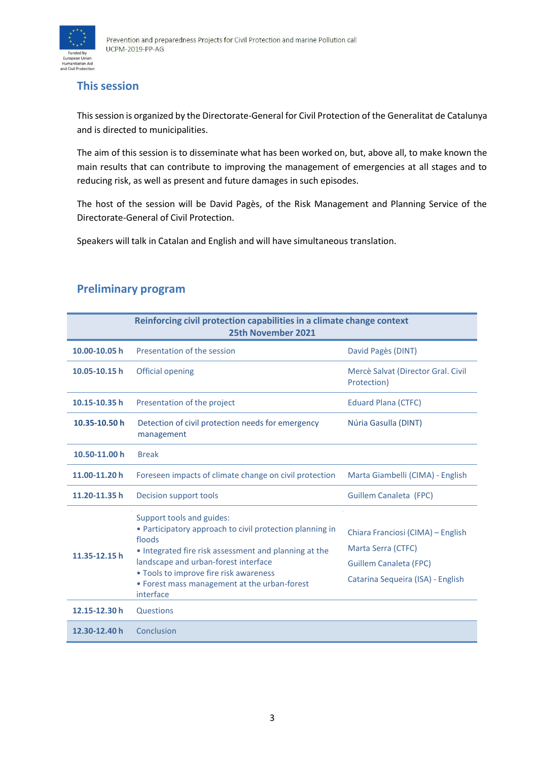

## **This session**

Thissession is organized by the Directorate-General for Civil Protection of the Generalitat de Catalunya and is directed to municipalities.

The aim of this session is to disseminate what has been worked on, but, above all, to make known the main results that can contribute to improving the management of emergencies at all stages and to reducing risk, as well as present and future damages in such episodes.

The host of the session will be David Pagès, of the Risk Management and Planning Service of the Directorate-General of Civil Protection.

Speakers will talk in Catalan and English and will have simultaneous translation.

### **Preliminary program**

| Reinforcing civil protection capabilities in a climate change context<br>25th November 2021 |                                                                                                                                                                                                                                                                                                         |                                                                                                                               |
|---------------------------------------------------------------------------------------------|---------------------------------------------------------------------------------------------------------------------------------------------------------------------------------------------------------------------------------------------------------------------------------------------------------|-------------------------------------------------------------------------------------------------------------------------------|
| 10.00-10.05 h                                                                               | Presentation of the session                                                                                                                                                                                                                                                                             | David Pagès (DINT)                                                                                                            |
| 10.05-10.15h                                                                                | Official opening                                                                                                                                                                                                                                                                                        | Mercè Salvat (Director Gral. Civil<br>Protection)                                                                             |
| 10.15-10.35h                                                                                | Presentation of the project                                                                                                                                                                                                                                                                             | <b>Eduard Plana (CTFC)</b>                                                                                                    |
| 10.35-10.50 h                                                                               | Detection of civil protection needs for emergency<br>management                                                                                                                                                                                                                                         | Núria Gasulla (DINT)                                                                                                          |
| 10.50-11.00 h                                                                               | <b>Break</b>                                                                                                                                                                                                                                                                                            |                                                                                                                               |
| 11.00-11.20 h                                                                               | Foreseen impacts of climate change on civil protection                                                                                                                                                                                                                                                  | Marta Giambelli (CIMA) - English                                                                                              |
| 11.20-11.35h                                                                                | Decision support tools                                                                                                                                                                                                                                                                                  | <b>Guillem Canaleta (FPC)</b>                                                                                                 |
| 11.35-12.15h                                                                                | Support tools and guides:<br>• Participatory approach to civil protection planning in<br>floods<br>• Integrated fire risk assessment and planning at the<br>landscape and urban-forest interface<br>• Tools to improve fire risk awareness<br>• Forest mass management at the urban-forest<br>interface | Chiara Franciosi (CIMA) – English<br>Marta Serra (CTFC)<br><b>Guillem Canaleta (FPC)</b><br>Catarina Sequeira (ISA) - English |
| 12.15-12.30h                                                                                | Questions                                                                                                                                                                                                                                                                                               |                                                                                                                               |
| 12.30-12.40 h                                                                               | Conclusion                                                                                                                                                                                                                                                                                              |                                                                                                                               |